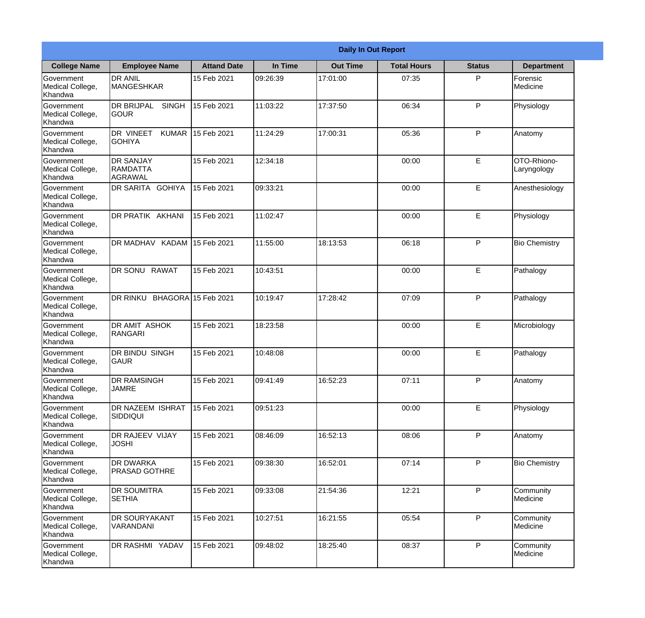|                                                  |                                                       |                     |          | <b>Daily In Out Report</b> |                    |               |                            |
|--------------------------------------------------|-------------------------------------------------------|---------------------|----------|----------------------------|--------------------|---------------|----------------------------|
| <b>College Name</b>                              | <b>Employee Name</b>                                  | <b>Attand Date</b>  | In Time  | <b>Out Time</b>            | <b>Total Hours</b> | <b>Status</b> | <b>Department</b>          |
| Government<br>Medical College,<br>Khandwa        | <b>DR ANIL</b><br>MANGESHKAR                          | 15 Feb 2021         | 09:26:39 | 17:01:00                   | 07:35              | P             | Forensic<br>Medicine       |
| Government<br>Medical College,<br>Khandwa        | <b>DR BRIJPAL</b><br><b>SINGH</b><br> GOUR            | 15 Feb 2021         | 11:03:22 | 17:37:50                   | 06:34              | P             | Physiology                 |
| <b>Government</b><br>Medical College,<br>Khandwa | <b>DR VINEET</b><br><b>KUMAR</b><br><b>I</b> GOHIYA   | 15 Feb 2021         | 11:24:29 | 17:00:31                   | 05:36              | P             | Anatomy                    |
| Government<br>Medical College,<br>Khandwa        | <b>DR SANJAY</b><br><b>RAMDATTA</b><br><b>AGRAWAL</b> | 15 Feb 2021         | 12:34:18 |                            | 00:00              | E             | OTO-Rhiono-<br>Laryngology |
| Government<br>Medical College,<br>Khandwa        | <b>IDR SARITA GOHIYA</b>                              | 15 Feb 2021         | 09:33:21 |                            | 00:00              | E             | Anesthesiology             |
| Government<br>Medical College,<br>Khandwa        | DR PRATIK AKHANI                                      | 15 Feb 2021         | 11:02:47 |                            | 00:00              | E             | Physiology                 |
| Government<br>Medical College,<br>Khandwa        | DR MADHAV KADAM                                       | 15 Feb 2021         | 11:55:00 | 18:13:53                   | 06:18              | P             | <b>Bio Chemistry</b>       |
| Government<br>Medical College,<br>Khandwa        | DR SONU RAWAT                                         | 15 Feb 2021         | 10:43:51 |                            | 00:00              | E             | Pathalogy                  |
| Government<br>Medical College,<br>Khandwa        | DR RINKU                                              | BHAGORA 15 Feb 2021 | 10:19:47 | 17:28:42                   | 07:09              | P             | Pathalogy                  |
| Government<br>Medical College,<br>Khandwa        | <b>DR AMIT ASHOK</b><br>RANGARI                       | 15 Feb 2021         | 18:23:58 |                            | 00:00              | E             | Microbiology               |
| Government<br>Medical College,<br>Khandwa        | <b>IDR BINDU SINGH</b><br> GAUR                       | 15 Feb 2021         | 10:48:08 |                            | 00:00              | E             | Pathalogy                  |
| Government<br>Medical College,<br>Khandwa        | <b>DR RAMSINGH</b><br><b>JAMRE</b>                    | 15 Feb 2021         | 09:41:49 | 16:52:23                   | 07:11              | P             | Anatomy                    |
| Government<br>Medical College,<br>Khandwa        | <b>DR NAZEEM ISHRAT</b><br>SIDDIQUI                   | 15 Feb 2021         | 09:51:23 |                            | 00:00              | E             | Physiology                 |
| Government<br>Medical College,<br>Khandwa        | <b>DR RAJEEV VIJAY</b><br><b>JOSHI</b>                | 15 Feb 2021         | 08:46:09 | 16:52:13                   | 08:06              | P             | Anatomy                    |
| Government<br>Medical College,<br>Khandwa        | <b>DR DWARKA</b><br><b>PRASAD GOTHRE</b>              | 15 Feb 2021         | 09:38:30 | 16:52:01                   | 07:14              | $\mathsf{P}$  | <b>Bio Chemistry</b>       |
| Government<br>Medical College,<br>Khandwa        | <b>DR SOUMITRA</b><br><b>SETHIA</b>                   | 15 Feb 2021         | 09:33:08 | 21:54:36                   | 12:21              | P             | Community<br>Medicine      |
| Government<br>Medical College,<br>Khandwa        | <b>IDR SOURYAKANT</b><br>VARANDANI                    | 15 Feb 2021         | 10:27:51 | 16:21:55                   | 05:54              | P             | Community<br>Medicine      |
| Government<br>Medical College,<br>Khandwa        | DR RASHMI YADAV                                       | 15 Feb 2021         | 09:48:02 | 18:25:40                   | 08:37              | P             | Community<br>Medicine      |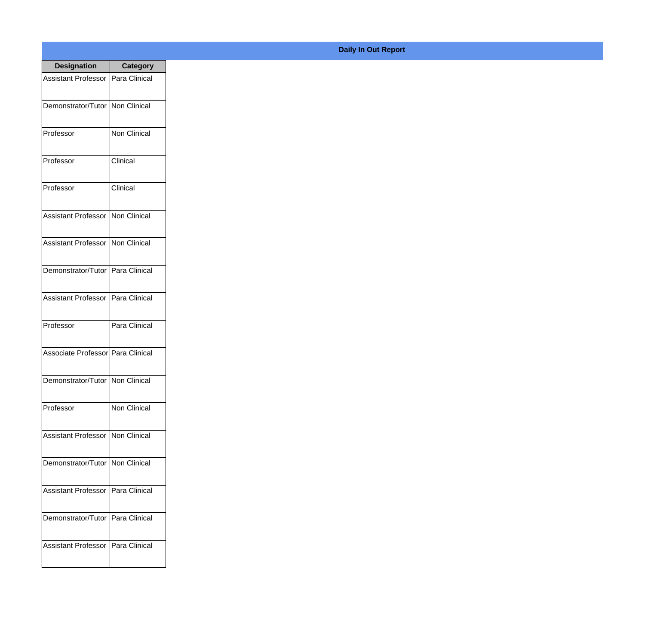| <b>Designation</b>                  | <b>Category</b>      |
|-------------------------------------|----------------------|
| <b>Assistant Professor</b>          | lPara Clinical       |
| Demonstrator/Tutor   Non Clinical   |                      |
| Professor                           | <b>Non Clinical</b>  |
| Professor                           | Clinical             |
| Professor                           | Clinical             |
| <b>Assistant Professor</b>          | Non Clinical         |
| <b>Assistant Professor</b>          | Non Clinical         |
| Demonstrator/Tutor   Para Clinical  |                      |
| <b>Assistant Professor</b>          | Para Clinical        |
| Professor                           | Para Clinical        |
| Associate Professor   Para Clinical |                      |
| Demonstrator/Tutor   Non Clinical   |                      |
| Professor                           | <b>Non Clinical</b>  |
| <b>Assistant Professor</b>          | Non Clinical         |
| Demonstrator/Tutor   Non Clinical   |                      |
| <b>Assistant Professor</b>          | Para Clinical        |
| Demonstrator/Tutor                  | Para Clinical        |
| <b>Assistant Professor</b>          | <b>Para Clinical</b> |

## **Daily In Out Report**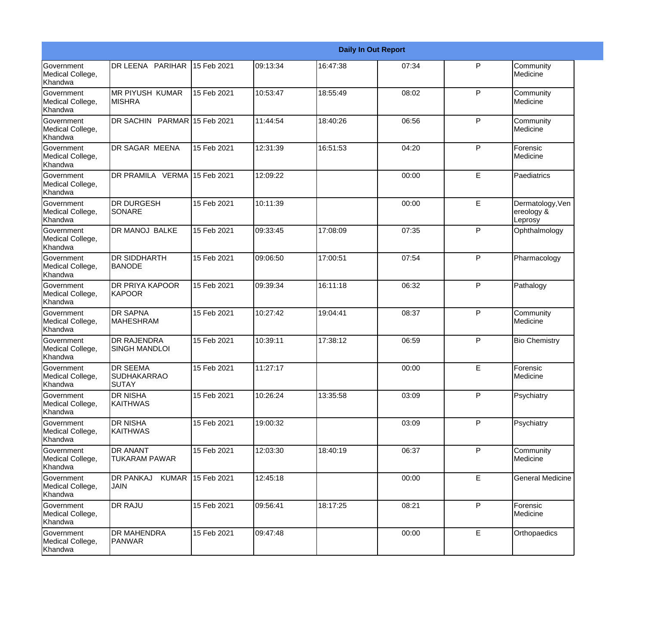|                                                         |                                                       |             |          |          | <b>Daily In Out Report</b> |              |                                           |
|---------------------------------------------------------|-------------------------------------------------------|-------------|----------|----------|----------------------------|--------------|-------------------------------------------|
| Government<br>Medical College,<br>Khandwa               | DR LEENA PARIHAR                                      | 15 Feb 2021 | 09:13:34 | 16:47:38 | 07:34                      | $\mathsf{P}$ | Community<br>Medicine                     |
| <b>Government</b><br>Medical College,<br>Khandwa        | <b>MR PIYUSH KUMAR</b><br><b>MISHRA</b>               | 15 Feb 2021 | 10:53:47 | 18:55:49 | 08:02                      | P            | Community<br>Medicine                     |
| <b>Government</b><br>Medical College,<br>Khandwa        | DR SACHIN PARMAR 15 Feb 2021                          |             | 11:44:54 | 18:40:26 | 06:56                      | P            | Community<br>Medicine                     |
| <b>Government</b><br>Medical College,<br>Khandwa        | DR SAGAR MEENA                                        | 15 Feb 2021 | 12:31:39 | 16:51:53 | 04:20                      | P            | Forensic<br>Medicine                      |
| <b>Government</b><br>Medical College,<br>Khandwa        | DR PRAMILA VERMA 15 Feb 2021                          |             | 12:09:22 |          | 00:00                      | E            | Paediatrics                               |
| <b>Government</b><br>Medical College,<br>Khandwa        | <b>DR DURGESH</b><br><b>SONARE</b>                    | 15 Feb 2021 | 10:11:39 |          | 00:00                      | E            | Dermatology, Ven<br>ereology &<br>Leprosy |
| <b>Government</b><br>Medical College,<br><b>Khandwa</b> | <b>DR MANOJ BALKE</b>                                 | 15 Feb 2021 | 09:33:45 | 17:08:09 | 07:35                      | P            | Ophthalmology                             |
| Government<br>Medical College,<br>Khandwa               | <b>DR SIDDHARTH</b><br><b>BANODE</b>                  | 15 Feb 2021 | 09:06:50 | 17:00:51 | 07:54                      | P            | Pharmacology                              |
| Government<br>Medical College,<br>Khandwa               | DR PRIYA KAPOOR<br>KAPOOR                             | 15 Feb 2021 | 09:39:34 | 16:11:18 | 06:32                      | $\mathsf{P}$ | Pathalogy                                 |
| <b>Government</b><br>Medical College,<br>Khandwa        | <b>DR SAPNA</b><br><b>MAHESHRAM</b>                   | 15 Feb 2021 | 10:27:42 | 19:04:41 | 08:37                      | $\mathsf{P}$ | Community<br>Medicine                     |
| <b>Government</b><br>Medical College,<br>Khandwa        | <b>DR RAJENDRA</b><br><b>SINGH MANDLOI</b>            | 15 Feb 2021 | 10:39:11 | 17:38:12 | 06:59                      | P            | <b>Bio Chemistry</b>                      |
| Government<br>Medical College,<br>Khandwa               | <b>DR SEEMA</b><br><b>SUDHAKARRAO</b><br><b>SUTAY</b> | 15 Feb 2021 | 11:27:17 |          | 00:00                      | E            | Forensic<br>Medicine                      |
| <b>Government</b><br>Medical College,<br>Khandwa        | <b>DR NISHA</b><br><b>KAITHWAS</b>                    | 15 Feb 2021 | 10:26:24 | 13:35:58 | 03:09                      | P            | Psychiatry                                |
| Government<br>Medical College,<br>Khandwa               | <b>DR NISHA</b><br><b>KAITHWAS</b>                    | 15 Feb 2021 | 19:00:32 |          | 03:09                      | P            | Psychiatry                                |
| Government<br>Medical College,<br>Khandwa               | <b>DR ANANT</b><br><b>TUKARAM PAWAR</b>               | 15 Feb 2021 | 12:03:30 | 18:40:19 | 06:37                      | P            | Community<br>Medicine                     |
| Government<br>Medical College,<br>Khandwa               | <b>DR PANKAJ</b><br><b>KUMAR</b><br><b>JAIN</b>       | 15 Feb 2021 | 12:45:18 |          | 00:00                      | E            | <b>General Medicine</b>                   |
| Government<br>Medical College,<br>Khandwa               | <b>DR RAJU</b>                                        | 15 Feb 2021 | 09:56:41 | 18:17:25 | 08:21                      | P            | Forensic<br>Medicine                      |
| Government<br>Medical College,<br>Khandwa               | <b>DR MAHENDRA</b><br><b>PANWAR</b>                   | 15 Feb 2021 | 09:47:48 |          | 00:00                      | $\mathsf E$  | Orthopaedics                              |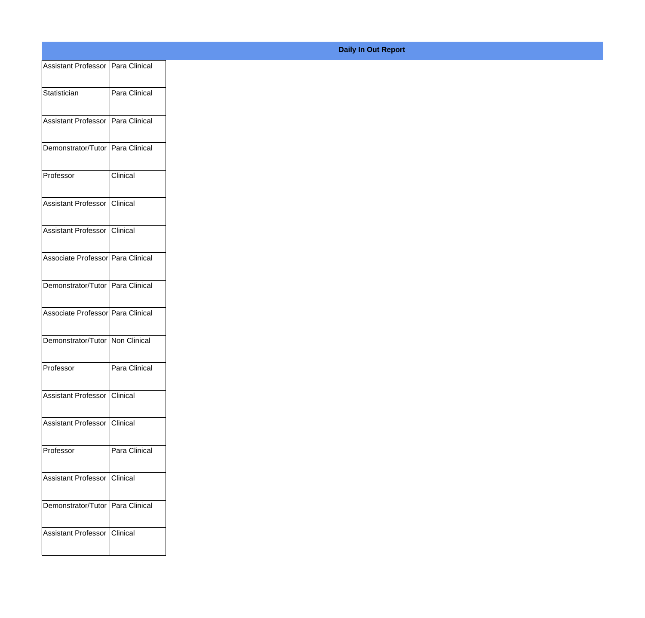| Assistant Professor   Para Clinical |               |
|-------------------------------------|---------------|
| Statistician                        | Para Clinical |
|                                     |               |
| Assistant Professor   Para Clinical |               |
| Demonstrator/Tutor Para Clinical    |               |
| Professor                           | Clinical      |
|                                     |               |
| Assistant Professor Clinical        |               |
| Assistant Professor Clinical        |               |
| Associate Professor Para Clinical   |               |
| Demonstrator/Tutor Para Clinical    |               |
|                                     |               |
| Associate Professor Para Clinical   |               |
| Demonstrator/Tutor Non Clinical     |               |
| Professor                           | Para Clinical |
|                                     |               |
| Assistant Professor Clinical        |               |
| Assistant Professor Clinical        |               |
| Professor                           | Para Clinical |
| Assistant Professor Clinical        |               |
|                                     |               |
| Demonstrator/Tutor Para Clinical    |               |
| Assistant Professor Clinical        |               |
|                                     |               |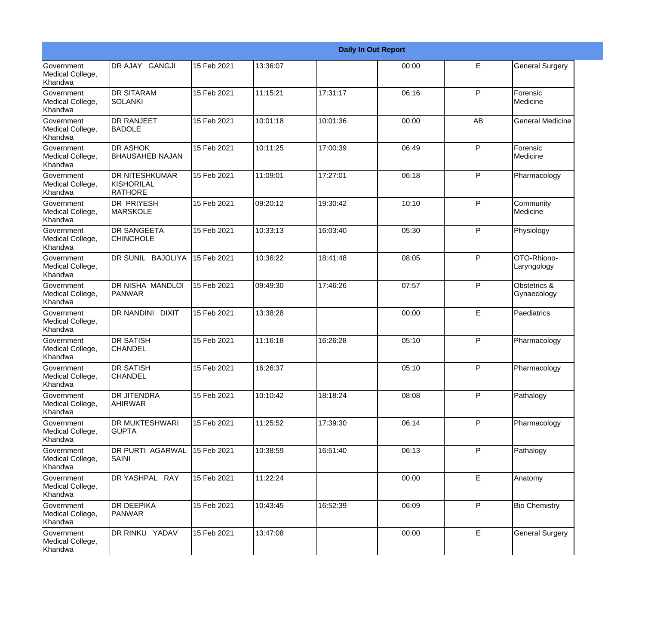|                                           |                                                       |             |          |          | <b>Daily In Out Report</b> |    |                             |
|-------------------------------------------|-------------------------------------------------------|-------------|----------|----------|----------------------------|----|-----------------------------|
| Government<br>Medical College,<br>Khandwa | DR AJAY GANGJI                                        | 15 Feb 2021 | 13:36:07 |          | 00:00                      | E  | <b>General Surgery</b>      |
| Government<br>Medical College,<br>Khandwa | <b>DR SITARAM</b><br>ISOLANKI                         | 15 Feb 2021 | 11:15:21 | 17:31:17 | 06:16                      | P  | Forensic<br>Medicine        |
| Government<br>Medical College,<br>Khandwa | <b>DR RANJEET</b><br><b>BADOLE</b>                    | 15 Feb 2021 | 10:01:18 | 10:01:36 | 00:00                      | AB | <b>General Medicine</b>     |
| Government<br>Medical College,<br>Khandwa | <b>DR ASHOK</b><br><b>BHAUSAHEB NAJAN</b>             | 15 Feb 2021 | 10:11:25 | 17:00:39 | 06:49                      | P  | Forensic<br>Medicine        |
| Government<br>Medical College,<br>Khandwa | <b>DR NITESHKUMAR</b><br>KISHORILAL<br><b>RATHORE</b> | 15 Feb 2021 | 11:09:01 | 17:27:01 | 06:18                      | P  | Pharmacology                |
| Government<br>Medical College,<br>Khandwa | <b>DR PRIYESH</b><br><b>MARSKOLE</b>                  | 15 Feb 2021 | 09:20:12 | 19:30:42 | 10:10                      | P  | Community<br>Medicine       |
| Government<br>Medical College,<br>Khandwa | <b>DR SANGEETA</b><br><b>CHINCHOLE</b>                | 15 Feb 2021 | 10:33:13 | 16:03:40 | 05:30                      | P  | Physiology                  |
| Government<br>Medical College,<br>Khandwa | DR SUNIL BAJOLIYA                                     | 15 Feb 2021 | 10:36:22 | 18:41:48 | 08:05                      | P  | OTO-Rhiono-<br>Laryngology  |
| Government<br>Medical College,<br>Khandwa | DR NISHA MANDLOI<br>PANWAR                            | 15 Feb 2021 | 09:49:30 | 17:46:26 | 07:57                      | P  | Obstetrics &<br>Gynaecology |
| Government<br>Medical College,<br>Khandwa | DR NANDINI DIXIT                                      | 15 Feb 2021 | 13:38:28 |          | 00:00                      | E  | Paediatrics                 |
| Government<br>Medical College,<br>Khandwa | <b>DR SATISH</b><br><b>CHANDEL</b>                    | 15 Feb 2021 | 11:16:18 | 16:26:28 | 05:10                      | P  | Pharmacology                |
| Government<br>Medical College,<br>Khandwa | <b>DR SATISH</b><br><b>CHANDEL</b>                    | 15 Feb 2021 | 16:26:37 |          | 05:10                      | P  | Pharmacology                |
| Government<br>Medical College,<br>Khandwa | <b>DR JITENDRA</b><br><b>AHIRWAR</b>                  | 15 Feb 2021 | 10:10:42 | 18:18:24 | 08:08                      | P  | Pathalogy                   |
| Government<br>Medical College,<br>Khandwa | <b>DR MUKTESHWARI</b><br><b>GUPTA</b>                 | 15 Feb 2021 | 11:25:52 | 17:39:30 | 06:14                      | P  | Pharmacology                |
| Government<br>Medical College,<br>Khandwa | <b>DR PURTI AGARWAL</b><br><b>SAINI</b>               | 15 Feb 2021 | 10:38:59 | 16:51:40 | 06:13                      | P  | Pathalogy                   |
| Government<br>Medical College,<br>Khandwa | DR YASHPAL RAY                                        | 15 Feb 2021 | 11:22:24 |          | 00:00                      | E  | Anatomy                     |
| Government<br>Medical College,<br>Khandwa | <b>DR DEEPIKA</b><br><b>PANWAR</b>                    | 15 Feb 2021 | 10:43:45 | 16:52:39 | 06:09                      | P  | <b>Bio Chemistry</b>        |
| Government<br>Medical College,<br>Khandwa | DR RINKU YADAV                                        | 15 Feb 2021 | 13:47:08 |          | 00:00                      | E  | <b>General Surgery</b>      |